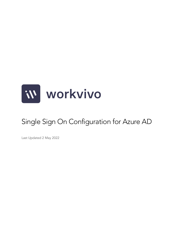

# Single Sign On Configuration for Azure AD

Last Updated 2 May 2022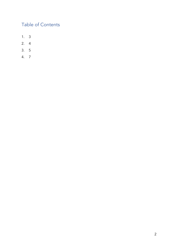# Table of Contents

- 1. 3
- 2. 4
- 3. 5
- 4. 7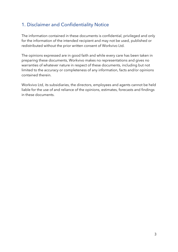## 1. Disclaimer and Confidentiality Notice

The information contained in these documents is confidential, privileged and only for the information of the intended recipient and may not be used, published or redistributed without the prior written consent of Workvivo Ltd.

The opinions expressed are in good faith and while every care has been taken in preparing these documents, Workvivo makes no representations and gives no warranties of whatever nature in respect of these documents, including but not limited to the accuracy or completeness of any information, facts and/or opinions contained therein.

Workvivo Ltd, its subsidiaries, the directors, employees and agents cannot be held liable for the use of and reliance of the opinions, estimates, forecasts and findings in these documents.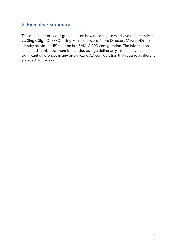### 2. Executive Summary

This document provides guidelines on how to configure Workvivo to authenticate via Single Sign On (SSO) using Microsoft Azure Active Directory (Azure AD) as the identity provider (IdP) solution in a SAML2 SSO configuration. The information contained in this document is intended as a guideline only – there may be significant differences in any given Azure AD configuration that require a different approach to be taken.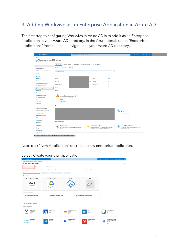# 3. Adding Workvivo as an Enterprise Application in Azure AD

The first step to configuring Workvivo in Azure AD is to add it as an Enterprise application in your Azure AD directory. In the Azure portal, select "Enterprise applications" from the main navigation in your Azure AD directory.

| <b>Microsoft Azure</b><br>$\equiv$                         | $O$ Search resources, services, and docs (G+/)                                                     |                                                                                     |                |                                 | <b>E &amp; Q &amp; O R</b>                     |  |
|------------------------------------------------------------|----------------------------------------------------------------------------------------------------|-------------------------------------------------------------------------------------|----------------|---------------------------------|------------------------------------------------|--|
| Home >                                                     |                                                                                                    |                                                                                     |                |                                 |                                                |  |
| Workvivo Limited   Overview<br>A<br>Azure Active Directory |                                                                                                    |                                                                                     |                |                                 |                                                |  |
| $\ll$<br><b>O</b> Overview                                 | Manage tenants 7 What's new<br>Preview features<br>$+$ Add $\vee$                                  | $\overline{R}$ Got feedback? $\vee$                                                 |                |                                 |                                                |  |
| <b>EE</b> Preview features                                 | Monitoring<br>Tutorials<br>Overview                                                                |                                                                                     |                |                                 |                                                |  |
| X Diagnose and solve problems                              |                                                                                                    |                                                                                     |                |                                 |                                                |  |
|                                                            | Search your tenant                                                                                 |                                                                                     |                |                                 |                                                |  |
| Manage                                                     | <b>Basic information</b>                                                                           |                                                                                     |                |                                 |                                                |  |
| & Users<br>& Groups                                        | Name                                                                                               | Users                                                                               | 113            |                                 |                                                |  |
| <b>D</b> External Identities                               |                                                                                                    |                                                                                     |                |                                 |                                                |  |
| Roles and administrators                                   | Tenant ID                                                                                          | Ø.<br>Groups                                                                        | 8              |                                 |                                                |  |
| Administrative units                                       | Primary domain                                                                                     | Applications                                                                        | 15             |                                 |                                                |  |
| Enterprise applications                                    | License                                                                                            | Devices                                                                             | $\overline{4}$ |                                 |                                                |  |
| Devices                                                    | Alerts                                                                                             |                                                                                     |                |                                 |                                                |  |
| App registrations                                          |                                                                                                    |                                                                                     |                |                                 |                                                |  |
| A Identity Governance                                      | Upcoming TLS 1.0, 1.1 and 3DES deprecation                                                         |                                                                                     |                |                                 |                                                |  |
| <b>E</b> Application proxy                                 | - 1<br>Please enable support for TLS 1.2 on<br>clients(applications/platform) to avoid any service |                                                                                     |                |                                 |                                                |  |
| Custom security attributes<br>(Preview)                    | impact.<br>Learn more [2]                                                                          |                                                                                     |                |                                 |                                                |  |
| Licenses                                                   |                                                                                                    |                                                                                     |                |                                 |                                                |  |
| Azure AD Connect                                           | My feed                                                                                            |                                                                                     |                |                                 |                                                |  |
| Custom domain names                                        |                                                                                                    |                                                                                     |                | <b>Azure AD Connect</b>         |                                                |  |
| Mobility (MDM and MAM)                                     |                                                                                                    |                                                                                     |                | Not enabled                     |                                                |  |
| Password reset                                             |                                                                                                    |                                                                                     |                | Sync has never run              |                                                |  |
| <b>II</b> Company branding                                 |                                                                                                    |                                                                                     |                | Go to Azure AD Connect          |                                                |  |
| <b>D</b> User settings                                     |                                                                                                    |                                                                                     |                |                                 |                                                |  |
| Properties                                                 | <b>Feature highlights</b>                                                                          |                                                                                     |                |                                 |                                                |  |
| Security                                                   |                                                                                                    |                                                                                     |                |                                 |                                                |  |
| Monitoring                                                 | <b>Access reviews</b><br><u>(۹)</u><br>Make sure only the right people have continued              | <b>Authentication methods</b><br>Configure your users in the authentication methods |                | <b>Azure AD Domain Services</b> | Lift-and-shift legacy applications running on- |  |
| Sign-in logs                                               | access.                                                                                            | policy to enable passwordless authentication.                                       |                | premises into Azure.            |                                                |  |
| Audit logs                                                 |                                                                                                    |                                                                                     |                |                                 |                                                |  |
| Provisioning logs                                          |                                                                                                    |                                                                                     |                |                                 |                                                |  |

Next, click "New Application" to create a new enterprise application.

| <b>Microsoft Azure</b><br>$=$                                                                  | $\rho$ Search resources, services, and docs (G+/)                                                          | . .                       |                                                                                                                                                                                                                                |              | E & Q @ @ <i>R</i>                         | clara.walsh@workvivo.o.<br>$\omega$<br>WORKVIVO LIMITED (WORKVIV. |
|------------------------------------------------------------------------------------------------|------------------------------------------------------------------------------------------------------------|---------------------------|--------------------------------------------------------------------------------------------------------------------------------------------------------------------------------------------------------------------------------|--------------|--------------------------------------------|-------------------------------------------------------------------|
| Home > Workvivo Limited > Enterprise applications >                                            |                                                                                                            |                           |                                                                                                                                                                                                                                |              |                                            |                                                                   |
| Browse Azure AD Gallery                                                                        |                                                                                                            |                           |                                                                                                                                                                                                                                |              |                                            | ×                                                                 |
| + Create your own application   0 Request new gallery app   R Got feedback?                    |                                                                                                            |                           |                                                                                                                                                                                                                                |              |                                            |                                                                   |
| your own application here.                                                                     |                                                                                                            |                           | The Azure AD App Gallery is a catalog of thousands of apps that make it easy to deploy and configure single sign-on (SSO) and automated user provisioning. When deploying an app from the App Gallery, you leverage prebuilt t |              |                                            |                                                                   |
| O Search application                                                                           | Single Sign-on : All<br>User Account Management : All                                                      | Categories : All          |                                                                                                                                                                                                                                |              |                                            |                                                                   |
| <b>Cloud platforms</b>                                                                         |                                                                                                            |                           |                                                                                                                                                                                                                                |              |                                            |                                                                   |
| Amazon Web Services (AWS)                                                                      | <b>Google Cloud Platform</b>                                                                               | Oracle                    | SAP                                                                                                                                                                                                                            |              |                                            |                                                                   |
|                                                                                                |                                                                                                            |                           |                                                                                                                                                                                                                                |              |                                            |                                                                   |
| aws                                                                                            |                                                                                                            |                           | <b>SAD</b>                                                                                                                                                                                                                     |              |                                            |                                                                   |
|                                                                                                | Google Cloud                                                                                               |                           |                                                                                                                                                                                                                                |              |                                            |                                                                   |
|                                                                                                |                                                                                                            |                           |                                                                                                                                                                                                                                |              |                                            |                                                                   |
|                                                                                                |                                                                                                            |                           |                                                                                                                                                                                                                                |              |                                            |                                                                   |
| <b>On-premises applications</b>                                                                |                                                                                                            |                           |                                                                                                                                                                                                                                |              |                                            |                                                                   |
| Add an on-premises application<br>Configure Azure AD Application Proxy to enable secure remote | <b>Learn about Application Proxy</b><br>Learn how to use Application Proxy to provide secure remote access |                           | <b>Manage Application Proxy connectors</b><br>Connectors are lightweight agents that sit on-premises and facilitate                                                                                                            |              |                                            |                                                                   |
| access.                                                                                        | to your on-premises applications.                                                                          |                           | the outbound connection to the Application Proxy service.                                                                                                                                                                      |              |                                            |                                                                   |
|                                                                                                |                                                                                                            |                           |                                                                                                                                                                                                                                |              |                                            |                                                                   |
| D Federated SSO (D Provisioning                                                                |                                                                                                            |                           |                                                                                                                                                                                                                                |              |                                            |                                                                   |
| <b>Featured applications</b>                                                                   |                                                                                                            |                           |                                                                                                                                                                                                                                |              |                                            |                                                                   |
| <b>Adobe Identity</b>                                                                          | <b>Atlassian Cloud</b>                                                                                     | <b>AWS Single-Account</b> | Box                                                                                                                                                                                                                            |              | <b>Cisco AnyConnect</b>                    |                                                                   |
| Management<br>Adobe Inc.                                                                       | Atlassian<br>த க                                                                                           | Access<br>aws<br>Amazon   | Box<br>box<br><b>@</b>                                                                                                                                                                                                         |              | Cisco Systems, Inc.<br>க                   |                                                                   |
| $\mathfrak{D} \oplus$<br>Adobe                                                                 |                                                                                                            | த க                       |                                                                                                                                                                                                                                |              |                                            |                                                                   |
| <b>Cisco Webex</b>                                                                             | Docusian                                                                                                   | <b>Dropbox Business</b>   | <b>FortiGate SSL VPN</b>                                                                                                                                                                                                       |              | Google Cloud / G Suite                     |                                                                   |
| Cisco <sub>Goo</sub><br>Webex $9$ <sup><math>\Phi</math></sup>                                 | DocuSign Inc.<br>DS<br>த க                                                                                 | Dropbox<br>9 ம            | Fortinet<br>Ð                                                                                                                                                                                                                  |              | <b>Connector by Microsoft</b><br>Microsoft |                                                                   |
|                                                                                                |                                                                                                            |                           |                                                                                                                                                                                                                                | Google Cloud | ЭФ                                         |                                                                   |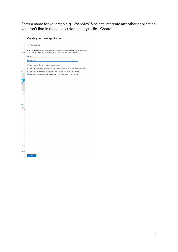Enter a name for your App e.g. 'Workvivo' & select 'Integrate any other application you don't find in the gallery (Non-gallery)', click 'Create'

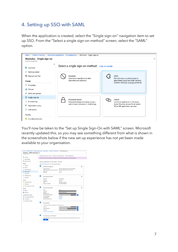# 4. Setting up SSO with SAML

When the application is created, select the "Single sign-on" navigation item to set up SSO. From the "Select a single sign-on method" screen, select the "SAML" option.



You'll now be taken to the "Set up Single Sign-On with SAML" screen. Microsoft recently updated this, so you may see something different from what is shown in the screenshots below if the new set up experience has not yet been made available to your organisation.

| Workvivo - SAML-based sign-on<br><b>Enterprise Application</b> |                      |                                                                 |                                                                                                                    |   |
|----------------------------------------------------------------|----------------------|-----------------------------------------------------------------|--------------------------------------------------------------------------------------------------------------------|---|
|                                                                | ĸ                    |                                                                 | Change single sign-on mode "s Switch to the old experience "Test this application"                                 |   |
| ш<br>Overview                                                  |                      |                                                                 | Welcome to the new experience for configuring SAML based SSO. Please click here to provide feedback.               |   |
| Getting started                                                |                      |                                                                 |                                                                                                                    |   |
| <b>BB</b> Deployment Plan                                      |                      |                                                                 |                                                                                                                    |   |
|                                                                |                      | Set up Single Sign-On with SAML - Preview                       |                                                                                                                    |   |
| Manage                                                         |                      | Read the configuration quide G for help integrating Workvivo.   |                                                                                                                    |   |
| <b>III</b> Properties                                          | п                    | <b>Basic SAML Configuration</b>                                 |                                                                                                                    | z |
| su Owners                                                      |                      |                                                                 |                                                                                                                    |   |
| Users and groups                                               |                      | Identifier (Entity ID)                                          | https://mycompany.workvivo.com/saml/metadata                                                                       |   |
| ÷                                                              |                      | Reply URL (Assertion Consumer Service URL)                      | https://mycompany.workvivo.com/saml/acs                                                                            |   |
| <b>3</b> Single sign-on                                        | <b>Relay State</b>   | Sign on URL                                                     | Optional<br>Optional                                                                                               |   |
| <b>D</b> Provisioning                                          |                      |                                                                 |                                                                                                                    |   |
| Application proxy                                              |                      |                                                                 |                                                                                                                    |   |
|                                                                | Ø                    | User Attributes & Claims                                        |                                                                                                                    |   |
| <b>G</b> Self-service                                          |                      |                                                                 |                                                                                                                    |   |
| Security                                                       | Givenname<br>Surname |                                                                 | user.givenname<br>user.surname                                                                                     |   |
|                                                                |                      | Emailaddress                                                    | user.mail                                                                                                          |   |
| <b>O</b> Conditional Access                                    | Name                 |                                                                 | user.userprincipalname                                                                                             |   |
| & Permissions                                                  |                      | Unique User Identifier                                          | user.userprincipalname                                                                                             |   |
|                                                                |                      |                                                                 |                                                                                                                    |   |
| Token encryption (Preview)<br>U                                | B                    |                                                                 |                                                                                                                    |   |
| Activity                                                       |                      | <b>SAML Signing Certificate</b>                                 |                                                                                                                    | ∕ |
| $\overline{3}$ Sign-ins                                        | <b>Status</b>        |                                                                 | Active                                                                                                             |   |
|                                                                |                      | Thumbprint                                                      |                                                                                                                    |   |
| Audit logs                                                     | Expiration           |                                                                 | 3/27/2021, 9:39:12 AM                                                                                              |   |
|                                                                |                      | Notification Email<br>App Federation Metadata Url               |                                                                                                                    |   |
| Troubleshooting + Support                                      |                      |                                                                 | https://login.microsoftonline.com/<br>Download                                                                     |   |
| Virtual assistant (Preview)                                    |                      | Certificate (Base64)<br>Certificate (Raw)                       | Download                                                                                                           |   |
| X Troubleshoot                                                 |                      | Federation Metadata XML                                         | Download                                                                                                           |   |
| New support request<br>з                                       |                      |                                                                 |                                                                                                                    |   |
|                                                                | ø                    |                                                                 |                                                                                                                    |   |
|                                                                |                      | Set up Workvivo                                                 |                                                                                                                    |   |
|                                                                |                      | You'll need to configure the application to link with Azure AD. |                                                                                                                    |   |
|                                                                | Login URL            |                                                                 | https://login.microsoftonline.com/t                                                                                |   |
|                                                                |                      | Azure AD Identifier                                             | Ñ<br>https://sts.windows.net/                                                                                      |   |
|                                                                |                      | Logout URL                                                      | ⋒<br>https://login.microsoftonline.com/common/wsfe                                                                 |   |
|                                                                |                      | View step-by-step instructions                                  |                                                                                                                    |   |
|                                                                | A                    | Test single sign-on with Workvivo                               |                                                                                                                    |   |
|                                                                |                      |                                                                 |                                                                                                                    |   |
|                                                                |                      |                                                                 | Test to see if single sign-on is working. Users will need to be added to Users and groups before they can sign in. |   |
|                                                                |                      | Test                                                            |                                                                                                                    |   |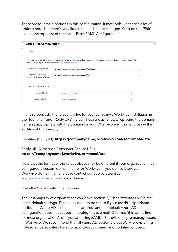There are four main sections in this configuration. It may look like there's a lot of options here, but there's very little that needs to be changed. Click on the "Edit" icon to the top right of section 1 "Basic SAML Configuration".

| <b>Basic SAML Configuration</b>                              |                                                                                                                                                                                                   |   |  |  |
|--------------------------------------------------------------|---------------------------------------------------------------------------------------------------------------------------------------------------------------------------------------------------|---|--|--|
| $\Box$ Save                                                  |                                                                                                                                                                                                   |   |  |  |
|                                                              | Values for the fields below are provided by Workvivo. You may either enter those values manually, or upload a pre-configured SAML<br>metadata file if provided by Workvivo. Upload metadata file. |   |  |  |
| * Identifier (Entity ID) @                                   | https://mycompany.workvivo.com/saml/metadata<br>✓                                                                                                                                                 |   |  |  |
| * Reply URL (Assertion<br>Consumer Service URL) <sup>6</sup> | https://mycompany.workvivo.com/saml/acs                                                                                                                                                           | ✓ |  |  |
| Set additional URLs<br>$\hat{\phantom{1}}$                   |                                                                                                                                                                                                   |   |  |  |
|                                                              |                                                                                                                                                                                                   |   |  |  |
| Sign on URL @                                                | Enter a sign on URL                                                                                                                                                                               |   |  |  |

In this screen, add the relevant value for your company's Workvivo installation in the "Identifier" and "Reply URL" fields. These are as follows, replacing the domain name as appropriate with the domain for your Workvivo environment. Leave the additional URLs empty.

Identifier (Entity ID): **https://[companyname].workvivo.com/saml/metadata**

#### Reply URL (Assertion Consumer Service URL): **https://[companyname].workvivo.com/saml/acs**

Note that the format of the values above may be different if your organisation has configured a custom domain name for Workvivo. If you do not know your Workvivo domain name, please contact our Support team at support@workvivo.com for assistance.

Press the "Save" button to continue.

The vast majority of organisations can leave section 2, "User Attributes & Claims" at the default settings. These only need to be set up if your userPrincipalName attribute in Azure AD is not an email address and the default Azure AD configuration does not support mapping this to a mail ID format (this works fine for most organisations); or if you are using SAML JIT provisioning to manage users in Workvivo. We recommend that all Azure AD customers use SCIM provisioning instead as it also caters for automatic deprovisioning and updating of users.